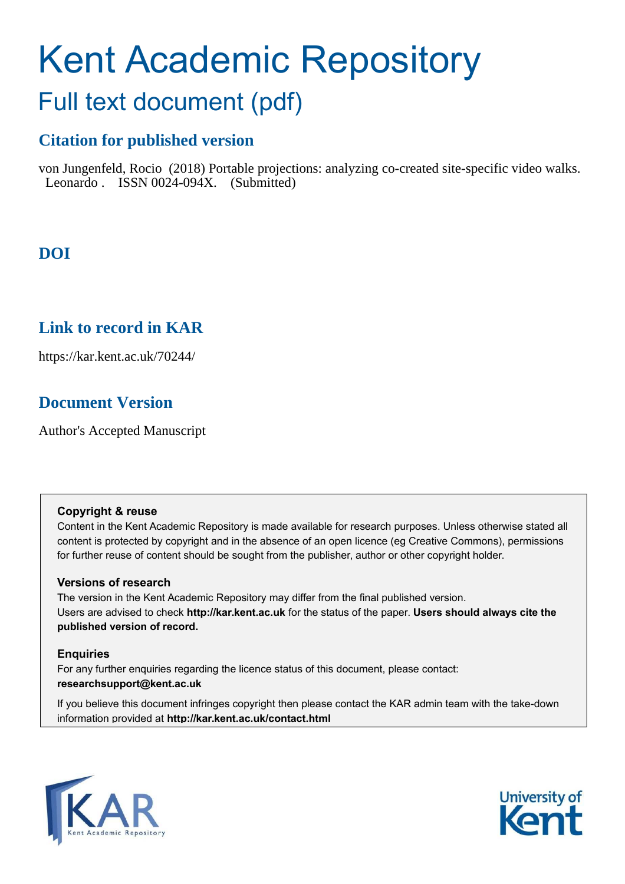# Kent Academic Repository Full text document (pdf)

# **Citation for published version**

von Jungenfeld, Rocio (2018) Portable projections: analyzing co-created site-specific video walks. Leonardo . ISSN 0024-094X. (Submitted)

# **DOI**

# **Link to record in KAR**

https://kar.kent.ac.uk/70244/

# **Document Version**

Author's Accepted Manuscript

#### **Copyright & reuse**

Content in the Kent Academic Repository is made available for research purposes. Unless otherwise stated all content is protected by copyright and in the absence of an open licence (eg Creative Commons), permissions for further reuse of content should be sought from the publisher, author or other copyright holder.

## **Versions of research**

The version in the Kent Academic Repository may differ from the final published version. Users are advised to check **http://kar.kent.ac.uk** for the status of the paper. **Users should always cite the published version of record.**

## **Enquiries**

For any further enquiries regarding the licence status of this document, please contact: **researchsupport@kent.ac.uk**

If you believe this document infringes copyright then please contact the KAR admin team with the take-down information provided at **http://kar.kent.ac.uk/contact.html**



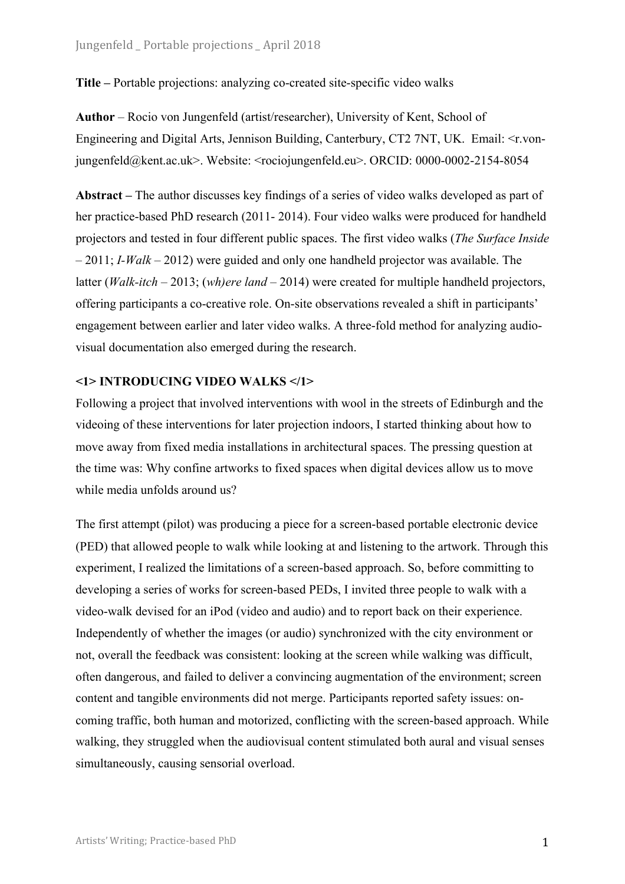#### **Title –** Portable projections: analyzing co-created site-specific video walks

**Author** – Rocio von Jungenfeld (artist/researcher), University of Kent, School of Engineering and Digital Arts, Jennison Building, Canterbury, CT2 7NT, UK. Email: <r.vonjungenfeld@kent.ac.uk>. Website: <rociojungenfeld.eu>. ORCID: 0000-0002-2154-8054

**Abstract –** The author discusses key findings of a series of video walks developed as part of her practice-based PhD research (2011- 2014). Four video walks were produced for handheld projectors and tested in four different public spaces. The first video walks (*The Surface Inside* – 2011; *I-Walk* – 2012) were guided and only one handheld projector was available. The latter (*Walk-itch* – 2013; (*wh)ere land* – 2014) were created for multiple handheld projectors, offering participants a co-creative role. On-site observations revealed a shift in participants' engagement between earlier and later video walks. A three-fold method for analyzing audiovisual documentation also emerged during the research.

#### **<1> INTRODUCING VIDEO WALKS </1>**

Following a project that involved interventions with wool in the streets of Edinburgh and the videoing of these interventions for later projection indoors, I started thinking about how to move away from fixed media installations in architectural spaces. The pressing question at the time was: Why confine artworks to fixed spaces when digital devices allow us to move while media unfolds around us?

The first attempt (pilot) was producing a piece for a screen-based portable electronic device (PED) that allowed people to walk while looking at and listening to the artwork. Through this experiment, I realized the limitations of a screen-based approach. So, before committing to developing a series of works for screen-based PEDs, I invited three people to walk with a video-walk devised for an iPod (video and audio) and to report back on their experience. Independently of whether the images (or audio) synchronized with the city environment or not, overall the feedback was consistent: looking at the screen while walking was difficult, often dangerous, and failed to deliver a convincing augmentation of the environment; screen content and tangible environments did not merge. Participants reported safety issues: oncoming traffic, both human and motorized, conflicting with the screen-based approach. While walking, they struggled when the audiovisual content stimulated both aural and visual senses simultaneously, causing sensorial overload.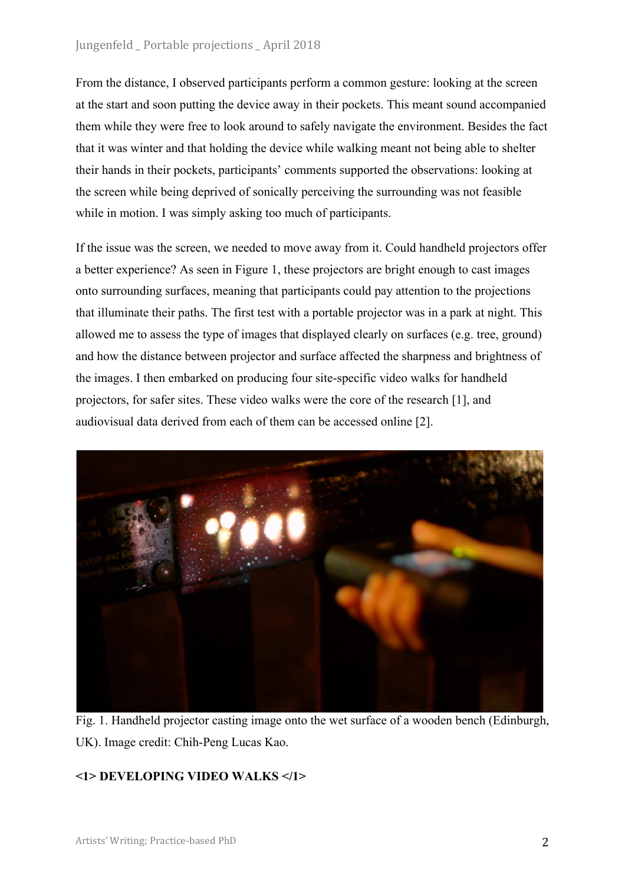From the distance, I observed participants perform a common gesture: looking at the screen at the start and soon putting the device away in their pockets. This meant sound accompanied them while they were free to look around to safely navigate the environment. Besides the fact that it was winter and that holding the device while walking meant not being able to shelter their hands in their pockets, participants' comments supported the observations: looking at the screen while being deprived of sonically perceiving the surrounding was not feasible while in motion. I was simply asking too much of participants.

If the issue was the screen, we needed to move away from it. Could handheld projectors offer a better experience? As seen in Figure 1, these projectors are bright enough to cast images onto surrounding surfaces, meaning that participants could pay attention to the projections that illuminate their paths. The first test with a portable projector was in a park at night. This allowed me to assess the type of images that displayed clearly on surfaces (e.g. tree, ground) and how the distance between projector and surface affected the sharpness and brightness of the images. I then embarked on producing four site-specific video walks for handheld projectors, for safer sites. These video walks were the core of the research [1], and audiovisual data derived from each of them can be accessed online [2].



Fig. 1. Handheld projector casting image onto the wet surface of a wooden bench (Edinburgh, UK). Image credit: Chih-Peng Lucas Kao.

# **<1> DEVELOPING VIDEO WALKS </1>**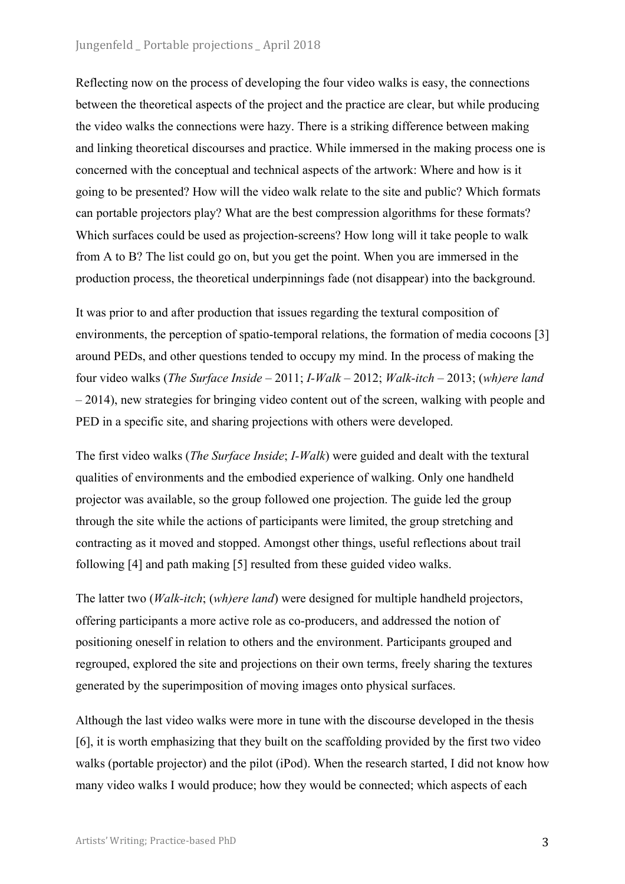#### Jungenfeld \_ Portable projections \_ April 2018

Reflecting now on the process of developing the four video walks is easy, the connections between the theoretical aspects of the project and the practice are clear, but while producing the video walks the connections were hazy. There is a striking difference between making and linking theoretical discourses and practice. While immersed in the making process one is concerned with the conceptual and technical aspects of the artwork: Where and how is it going to be presented? How will the video walk relate to the site and public? Which formats can portable projectors play? What are the best compression algorithms for these formats? Which surfaces could be used as projection-screens? How long will it take people to walk from A to B? The list could go on, but you get the point. When you are immersed in the production process, the theoretical underpinnings fade (not disappear) into the background.

It was prior to and after production that issues regarding the textural composition of environments, the perception of spatio-temporal relations, the formation of media cocoons [3] around PEDs, and other questions tended to occupy my mind. In the process of making the four video walks (*The Surface Inside* – 2011; *I-Walk* – 2012; *Walk-itch* – 2013; (*wh)ere land* – 2014), new strategies for bringing video content out of the screen, walking with people and PED in a specific site, and sharing projections with others were developed.

The first video walks (*The Surface Inside*; *I-Walk*) were guided and dealt with the textural qualities of environments and the embodied experience of walking. Only one handheld projector was available, so the group followed one projection. The guide led the group through the site while the actions of participants were limited, the group stretching and contracting as it moved and stopped. Amongst other things, useful reflections about trail following [4] and path making [5] resulted from these guided video walks.

The latter two (*Walk-itch*; (*wh)ere land*) were designed for multiple handheld projectors, offering participants a more active role as co-producers, and addressed the notion of positioning oneself in relation to others and the environment. Participants grouped and regrouped, explored the site and projections on their own terms, freely sharing the textures generated by the superimposition of moving images onto physical surfaces.

Although the last video walks were more in tune with the discourse developed in the thesis [6], it is worth emphasizing that they built on the scaffolding provided by the first two video walks (portable projector) and the pilot (iPod). When the research started, I did not know how many video walks I would produce; how they would be connected; which aspects of each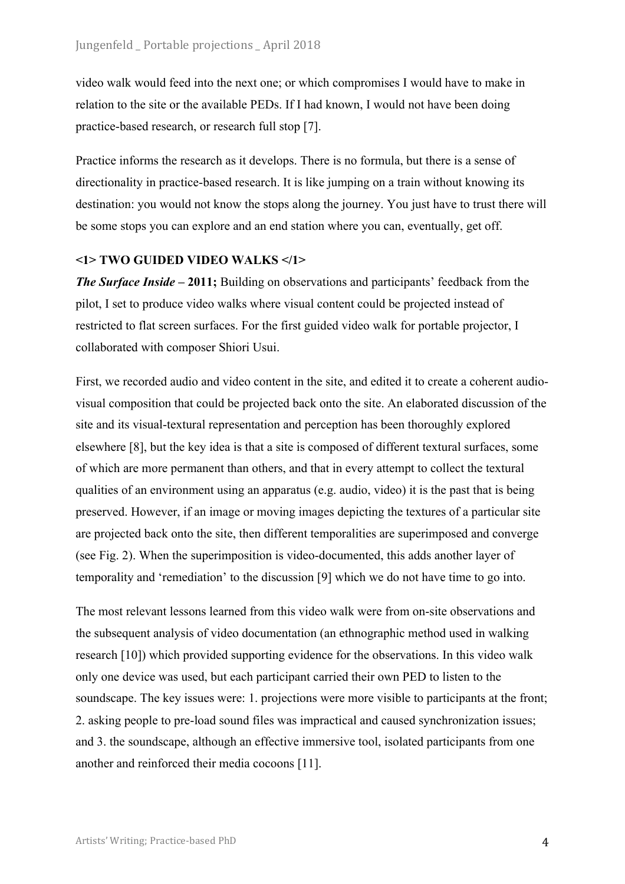video walk would feed into the next one; or which compromises I would have to make in relation to the site or the available PEDs. If I had known, I would not have been doing practice-based research, or research full stop [7].

Practice informs the research as it develops. There is no formula, but there is a sense of directionality in practice-based research. It is like jumping on a train without knowing its destination: you would not know the stops along the journey. You just have to trust there will be some stops you can explore and an end station where you can, eventually, get off.

## **<1> TWO GUIDED VIDEO WALKS </1>**

*The Surface Inside* – 2011; Building on observations and participants' feedback from the pilot, I set to produce video walks where visual content could be projected instead of restricted to flat screen surfaces. For the first guided video walk for portable projector, I collaborated with composer Shiori Usui.

First, we recorded audio and video content in the site, and edited it to create a coherent audiovisual composition that could be projected back onto the site. An elaborated discussion of the site and its visual-textural representation and perception has been thoroughly explored elsewhere [8], but the key idea is that a site is composed of different textural surfaces, some of which are more permanent than others, and that in every attempt to collect the textural qualities of an environment using an apparatus (e.g. audio, video) it is the past that is being preserved. However, if an image or moving images depicting the textures of a particular site are projected back onto the site, then different temporalities are superimposed and converge (see Fig. 2). When the superimposition is video-documented, this adds another layer of temporality and 'remediation' to the discussion [9] which we do not have time to go into.

The most relevant lessons learned from this video walk were from on-site observations and the subsequent analysis of video documentation (an ethnographic method used in walking research [10]) which provided supporting evidence for the observations. In this video walk only one device was used, but each participant carried their own PED to listen to the soundscape. The key issues were: 1. projections were more visible to participants at the front; 2. asking people to pre-load sound files was impractical and caused synchronization issues; and 3. the soundscape, although an effective immersive tool, isolated participants from one another and reinforced their media cocoons [11].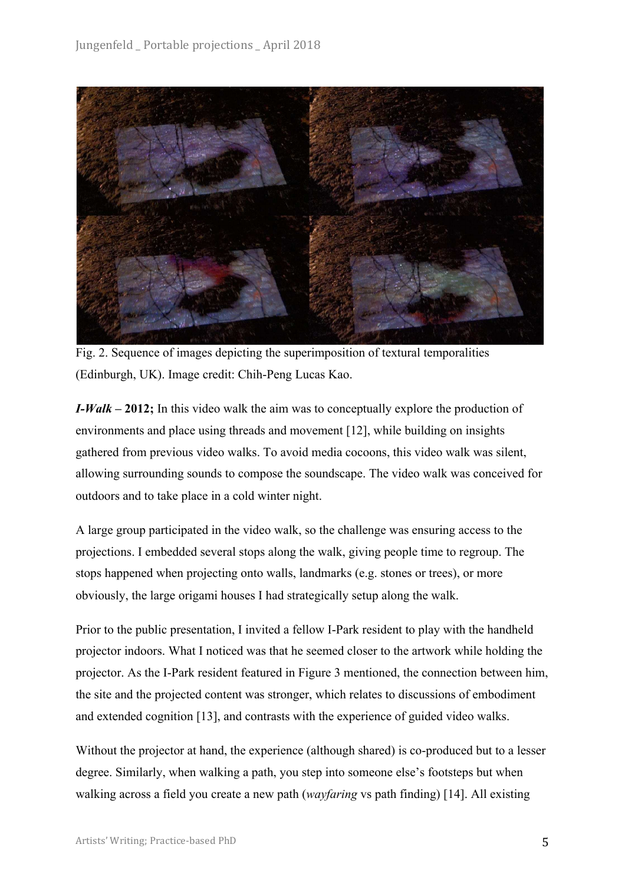

Fig. 2. Sequence of images depicting the superimposition of textural temporalities (Edinburgh, UK). Image credit: Chih-Peng Lucas Kao.

*I-Walk* **– 2012;** In this video walk the aim was to conceptually explore the production of environments and place using threads and movement [12], while building on insights gathered from previous video walks. To avoid media cocoons, this video walk was silent, allowing surrounding sounds to compose the soundscape. The video walk was conceived for outdoors and to take place in a cold winter night.

A large group participated in the video walk, so the challenge was ensuring access to the projections. I embedded several stops along the walk, giving people time to regroup. The stops happened when projecting onto walls, landmarks (e.g. stones or trees), or more obviously, the large origami houses I had strategically setup along the walk.

Prior to the public presentation, I invited a fellow I-Park resident to play with the handheld projector indoors. What I noticed was that he seemed closer to the artwork while holding the projector. As the I-Park resident featured in Figure 3 mentioned, the connection between him, the site and the projected content was stronger, which relates to discussions of embodiment and extended cognition [13], and contrasts with the experience of guided video walks.

Without the projector at hand, the experience (although shared) is co-produced but to a lesser degree. Similarly, when walking a path, you step into someone else's footsteps but when walking across a field you create a new path (*wayfaring* vs path finding) [14]. All existing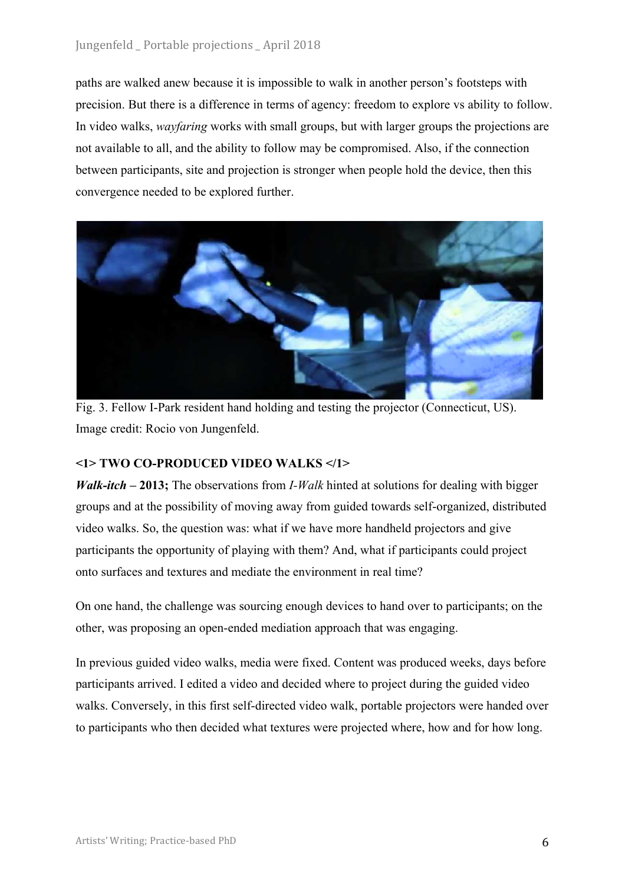paths are walked anew because it is impossible to walk in another person's footsteps with precision. But there is a difference in terms of agency: freedom to explore vs ability to follow. In video walks, *wayfaring* works with small groups, but with larger groups the projections are not available to all, and the ability to follow may be compromised. Also, if the connection between participants, site and projection is stronger when people hold the device, then this convergence needed to be explored further.



Fig. 3. Fellow I-Park resident hand holding and testing the projector (Connecticut, US). Image credit: Rocio von Jungenfeld.

# **<1> TWO CO-PRODUCED VIDEO WALKS </1>**

*Walk-itch* **– 2013;** The observations from *I-Walk* hinted at solutions for dealing with bigger groups and at the possibility of moving away from guided towards self-organized, distributed video walks. So, the question was: what if we have more handheld projectors and give participants the opportunity of playing with them? And, what if participants could project onto surfaces and textures and mediate the environment in real time?

On one hand, the challenge was sourcing enough devices to hand over to participants; on the other, was proposing an open-ended mediation approach that was engaging.

In previous guided video walks, media were fixed. Content was produced weeks, days before participants arrived. I edited a video and decided where to project during the guided video walks. Conversely, in this first self-directed video walk, portable projectors were handed over to participants who then decided what textures were projected where, how and for how long.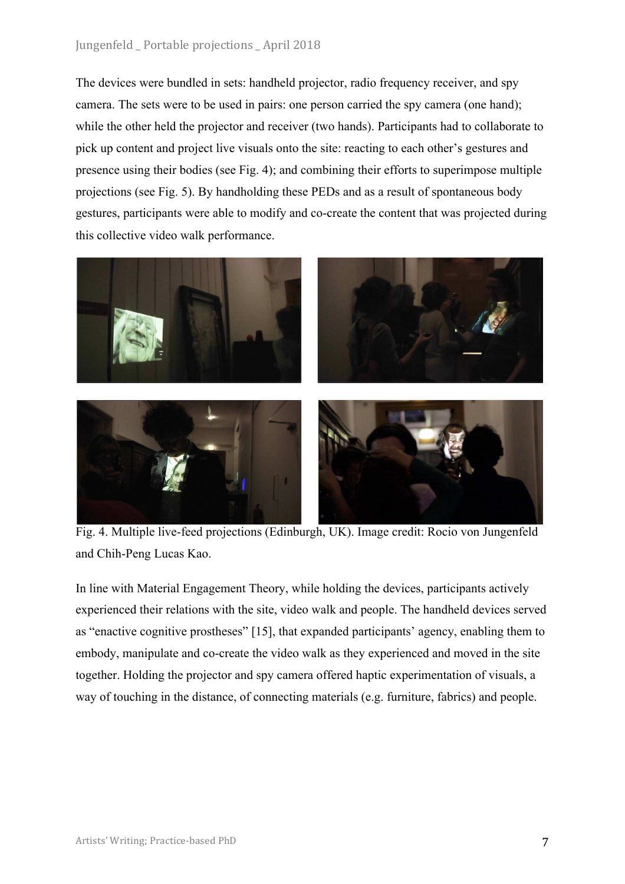#### Jungenfeld \_ Portable projections \_ April 2018

The devices were bundled in sets: handheld projector, radio frequency receiver, and spy camera. The sets were to be used in pairs: one person carried the spy camera (one hand); while the other held the projector and receiver (two hands). Participants had to collaborate to pick up content and project live visuals onto the site: reacting to each other's gestures and presence using their bodies (see Fig. 4); and combining their efforts to superimpose multiple projections (see Fig. 5). By handholding these PEDs and as a result of spontaneous body gestures, participants were able to modify and co-create the content that was projected during this collective video walk performance.



Fig. 4. Multiple live-feed projections (Edinburgh, UK). Image credit: Rocio von Jungenfeld and Chih-Peng Lucas Kao.

In line with Material Engagement Theory, while holding the devices, participants actively experienced their relations with the site, video walk and people. The handheld devices served as "enactive cognitive prostheses" [15], that expanded participants' agency, enabling them to embody, manipulate and co-create the video walk as they experienced and moved in the site together. Holding the projector and spy camera offered haptic experimentation of visuals, a way of touching in the distance, of connecting materials (e.g. furniture, fabrics) and people.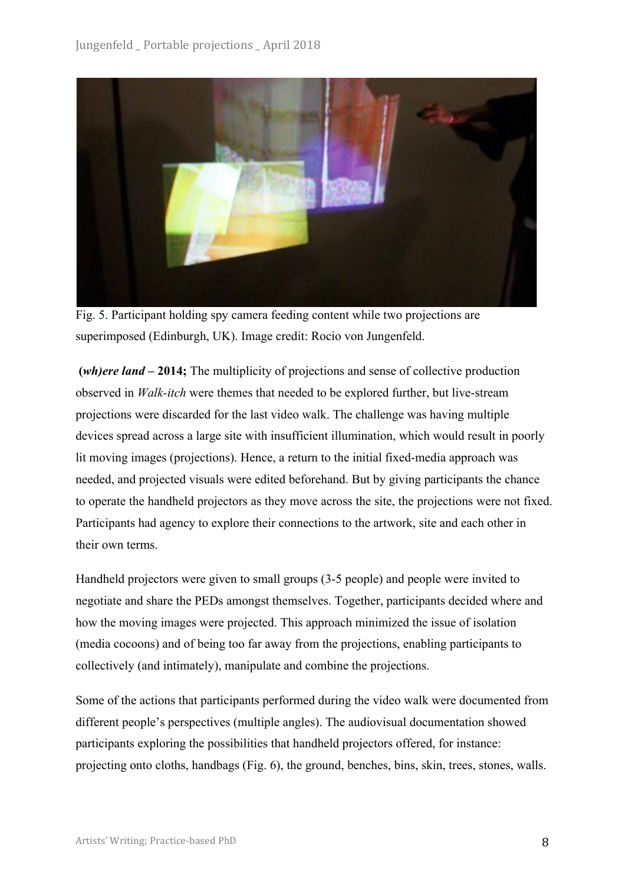

Fig. 5. Participant holding spy camera feeding content while two projections are superimposed (Edinburgh, UK). Image credit: Rocio von Jungenfeld.

**(***wh)ere land* **– 2014;** The multiplicity of projections and sense of collective production observed in *Walk-itch* were themes that needed to be explored further, but live-stream projections were discarded for the last video walk. The challenge was having multiple devices spread across a large site with insufficient illumination, which would result in poorly lit moving images (projections). Hence, a return to the initial fixed-media approach was needed, and projected visuals were edited beforehand. But by giving participants the chance to operate the handheld projectors as they move across the site, the projections were not fixed. Participants had agency to explore their connections to the artwork, site and each other in their own terms.

Handheld projectors were given to small groups (3-5 people) and people were invited to negotiate and share the PEDs amongst themselves. Together, participants decided where and how the moving images were projected. This approach minimized the issue of isolation (media cocoons) and of being too far away from the projections, enabling participants to collectively (and intimately), manipulate and combine the projections.

Some of the actions that participants performed during the video walk were documented from different people's perspectives (multiple angles). The audiovisual documentation showed participants exploring the possibilities that handheld projectors offered, for instance: projecting onto cloths, handbags (Fig. 6), the ground, benches, bins, skin, trees, stones, walls.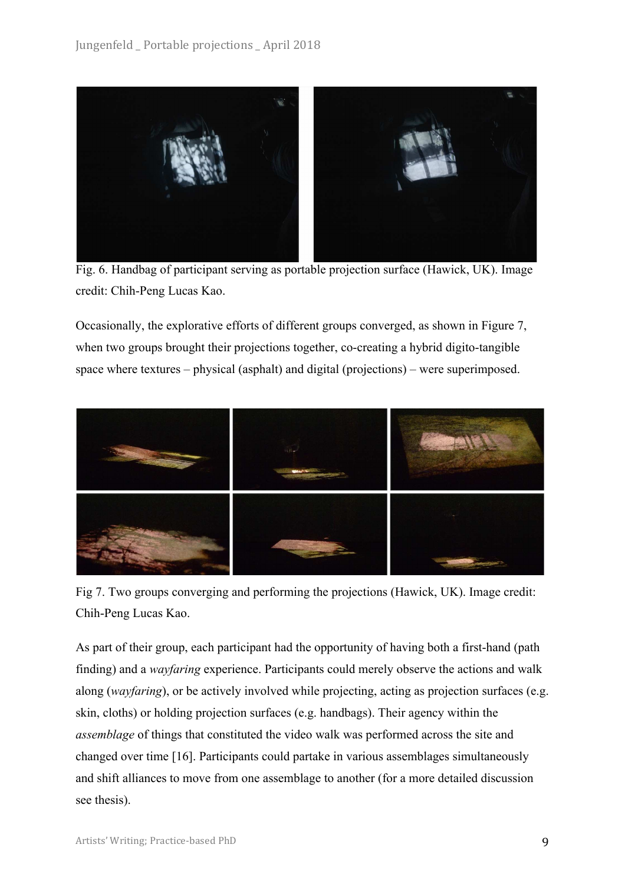

Fig. 6. Handbag of participant serving as portable projection surface (Hawick, UK). Image credit: Chih-Peng Lucas Kao.

Occasionally, the explorative efforts of different groups converged, as shown in Figure 7, when two groups brought their projections together, co-creating a hybrid digito-tangible space where textures – physical (asphalt) and digital (projections) – were superimposed.



Fig 7. Two groups converging and performing the projections (Hawick, UK). Image credit: Chih-Peng Lucas Kao.

As part of their group, each participant had the opportunity of having both a first-hand (path finding) and a *wayfaring* experience. Participants could merely observe the actions and walk along (*wayfaring*), or be actively involved while projecting, acting as projection surfaces (e.g. skin, cloths) or holding projection surfaces (e.g. handbags). Their agency within the *assemblage* of things that constituted the video walk was performed across the site and changed over time [16]. Participants could partake in various assemblages simultaneously and shift alliances to move from one assemblage to another (for a more detailed discussion see thesis).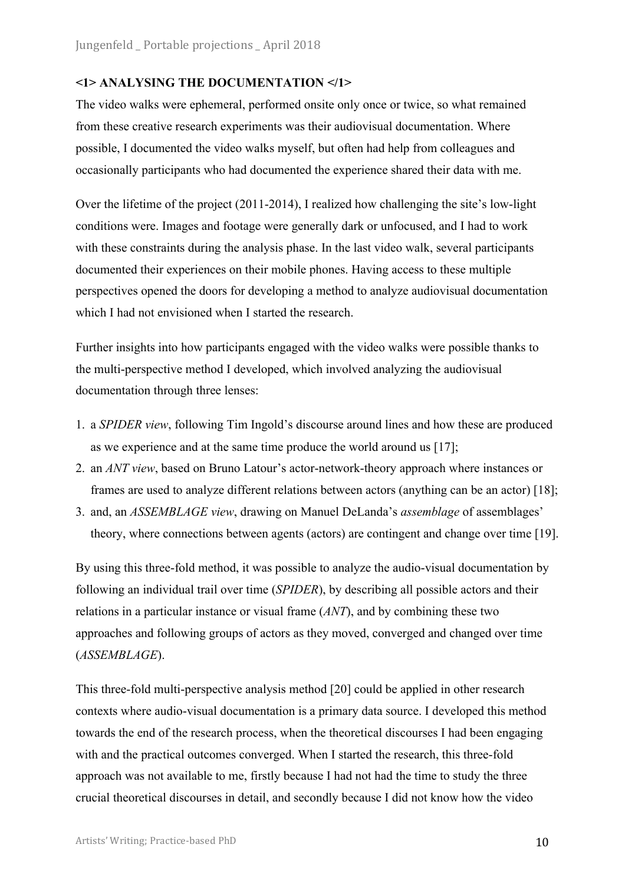#### **<1> ANALYSING THE DOCUMENTATION </1>**

The video walks were ephemeral, performed onsite only once or twice, so what remained from these creative research experiments was their audiovisual documentation. Where possible, I documented the video walks myself, but often had help from colleagues and occasionally participants who had documented the experience shared their data with me.

Over the lifetime of the project (2011-2014), I realized how challenging the site's low-light conditions were. Images and footage were generally dark or unfocused, and I had to work with these constraints during the analysis phase. In the last video walk, several participants documented their experiences on their mobile phones. Having access to these multiple perspectives opened the doors for developing a method to analyze audiovisual documentation which I had not envisioned when I started the research.

Further insights into how participants engaged with the video walks were possible thanks to the multi-perspective method I developed, which involved analyzing the audiovisual documentation through three lenses:

- 1. a *SPIDER view*, following Tim Ingold's discourse around lines and how these are produced as we experience and at the same time produce the world around us [17];
- 2. an *ANT view*, based on Bruno Latour's actor-network-theory approach where instances or frames are used to analyze different relations between actors (anything can be an actor) [18];
- 3. and, an *ASSEMBLAGE view*, drawing on Manuel DeLanda's *assemblage* of assemblages' theory, where connections between agents (actors) are contingent and change over time [19].

By using this three-fold method, it was possible to analyze the audio-visual documentation by following an individual trail over time (*SPIDER*), by describing all possible actors and their relations in a particular instance or visual frame (*ANT*), and by combining these two approaches and following groups of actors as they moved, converged and changed over time (*ASSEMBLAGE*).

This three-fold multi-perspective analysis method [20] could be applied in other research contexts where audio-visual documentation is a primary data source. I developed this method towards the end of the research process, when the theoretical discourses I had been engaging with and the practical outcomes converged. When I started the research, this three-fold approach was not available to me, firstly because I had not had the time to study the three crucial theoretical discourses in detail, and secondly because I did not know how the video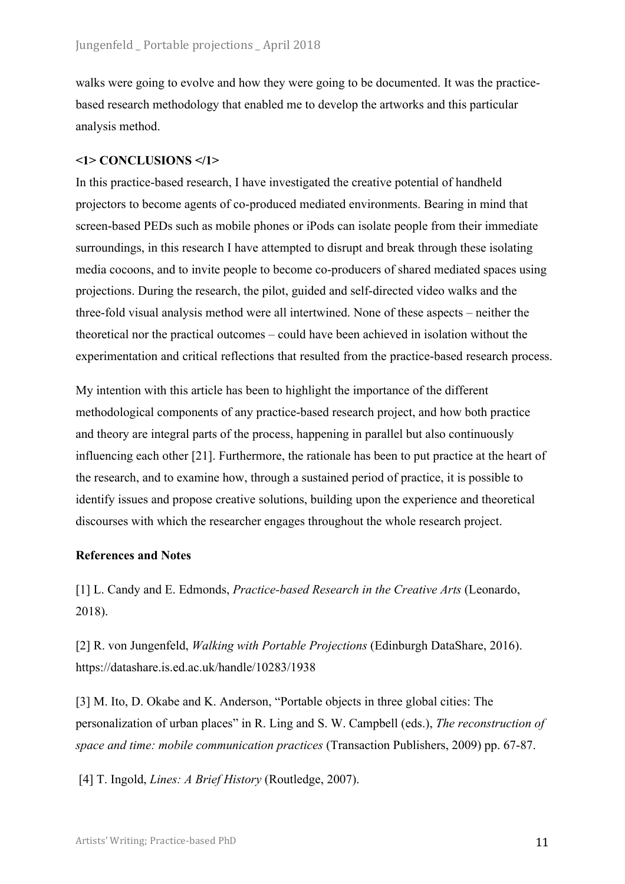walks were going to evolve and how they were going to be documented. It was the practicebased research methodology that enabled me to develop the artworks and this particular analysis method.

## **<1> CONCLUSIONS </1>**

In this practice-based research, I have investigated the creative potential of handheld projectors to become agents of co-produced mediated environments. Bearing in mind that screen-based PEDs such as mobile phones or iPods can isolate people from their immediate surroundings, in this research I have attempted to disrupt and break through these isolating media cocoons, and to invite people to become co-producers of shared mediated spaces using projections. During the research, the pilot, guided and self-directed video walks and the three-fold visual analysis method were all intertwined. None of these aspects – neither the theoretical nor the practical outcomes – could have been achieved in isolation without the experimentation and critical reflections that resulted from the practice-based research process.

My intention with this article has been to highlight the importance of the different methodological components of any practice-based research project, and how both practice and theory are integral parts of the process, happening in parallel but also continuously influencing each other [21]. Furthermore, the rationale has been to put practice at the heart of the research, and to examine how, through a sustained period of practice, it is possible to identify issues and propose creative solutions, building upon the experience and theoretical discourses with which the researcher engages throughout the whole research project.

## **References and Notes**

[1] L. Candy and E. Edmonds, *Practice-based Research in the Creative Arts* (Leonardo, 2018).

[2] R. von Jungenfeld, *Walking with Portable Projections* (Edinburgh DataShare, 2016). https://datashare.is.ed.ac.uk/handle/10283/1938

[3] M. Ito, D. Okabe and K. Anderson, "Portable objects in three global cities: The personalization of urban places" in R. Ling and S. W. Campbell (eds.), *The reconstruction of space and time: mobile communication practices* (Transaction Publishers, 2009) pp. 67-87.

[4] T. Ingold, *Lines: A Brief History* (Routledge, 2007).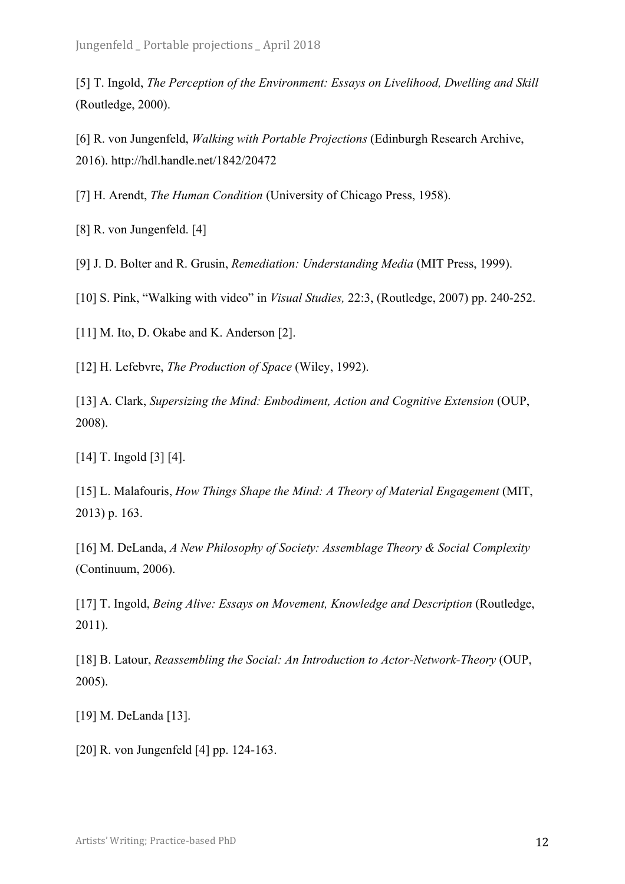[5] T. Ingold, *The Perception of the Environment: Essays on Livelihood, Dwelling and Skill* (Routledge, 2000).

[6] R. von Jungenfeld, *Walking with Portable Projections* (Edinburgh Research Archive, 2016). http://hdl.handle.net/1842/20472

[7] H. Arendt, *The Human Condition* (University of Chicago Press, 1958).

[8] R. von Jungenfeld. [4]

[9] J. D. Bolter and R. Grusin, *Remediation: Understanding Media* (MIT Press, 1999).

[10] S. Pink, "Walking with video" in *Visual Studies,* 22:3, (Routledge, 2007) pp. 240-252.

[11] M. Ito, D. Okabe and K. Anderson [2].

[12] H. Lefebvre, *The Production of Space* (Wiley, 1992).

[13] A. Clark, *Supersizing the Mind: Embodiment, Action and Cognitive Extension* (OUP, 2008).

[14] T. Ingold [3] [4].

[15] L. Malafouris, *How Things Shape the Mind: A Theory of Material Engagement* (MIT, 2013) p. 163.

[16] M. DeLanda, *A New Philosophy of Society: Assemblage Theory & Social Complexity*  (Continuum, 2006).

[17] T. Ingold, *Being Alive: Essays on Movement, Knowledge and Description* (Routledge, 2011).

[18] B. Latour, *Reassembling the Social: An Introduction to Actor-Network-Theory* (OUP, 2005).

[19] M. DeLanda [13].

[20] R. von Jungenfeld [4] pp. 124-163.